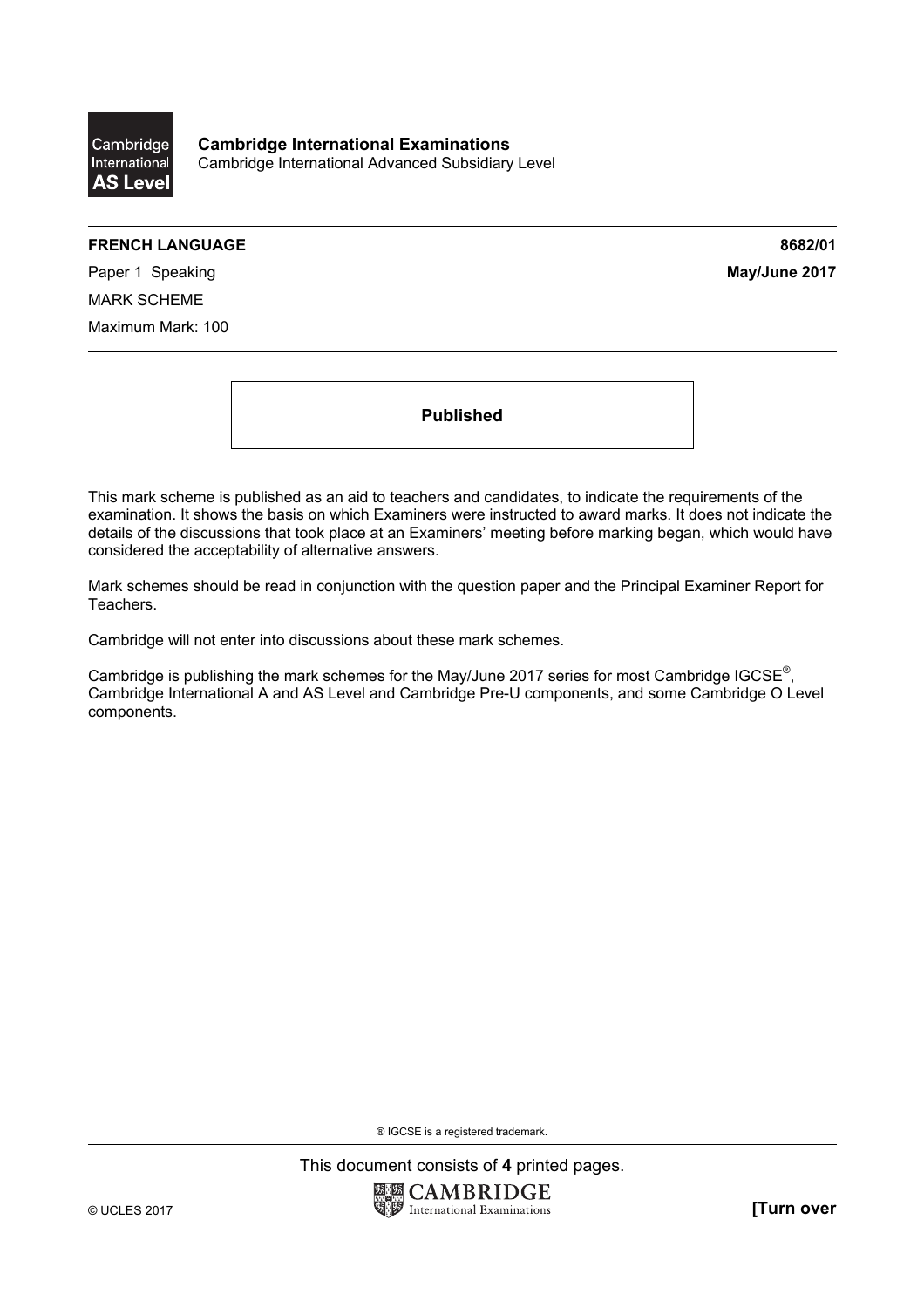

**Cambridge International Examinations**  Cambridge International Advanced Subsidiary Level

## **FRENCH LANGUAGE 8682/01**

**Paper 1 Speaking**  May/June 2017 MARK SCHEME Maximum Mark: 100

**Published** 

This mark scheme is published as an aid to teachers and candidates, to indicate the requirements of the examination. It shows the basis on which Examiners were instructed to award marks. It does not indicate the details of the discussions that took place at an Examiners' meeting before marking began, which would have considered the acceptability of alternative answers.

Mark schemes should be read in conjunction with the question paper and the Principal Examiner Report for Teachers.

Cambridge will not enter into discussions about these mark schemes.

Cambridge is publishing the mark schemes for the May/June 2017 series for most Cambridge IGCSE<sup>®</sup>, Cambridge International A and AS Level and Cambridge Pre-U components, and some Cambridge O Level components.

® IGCSE is a registered trademark.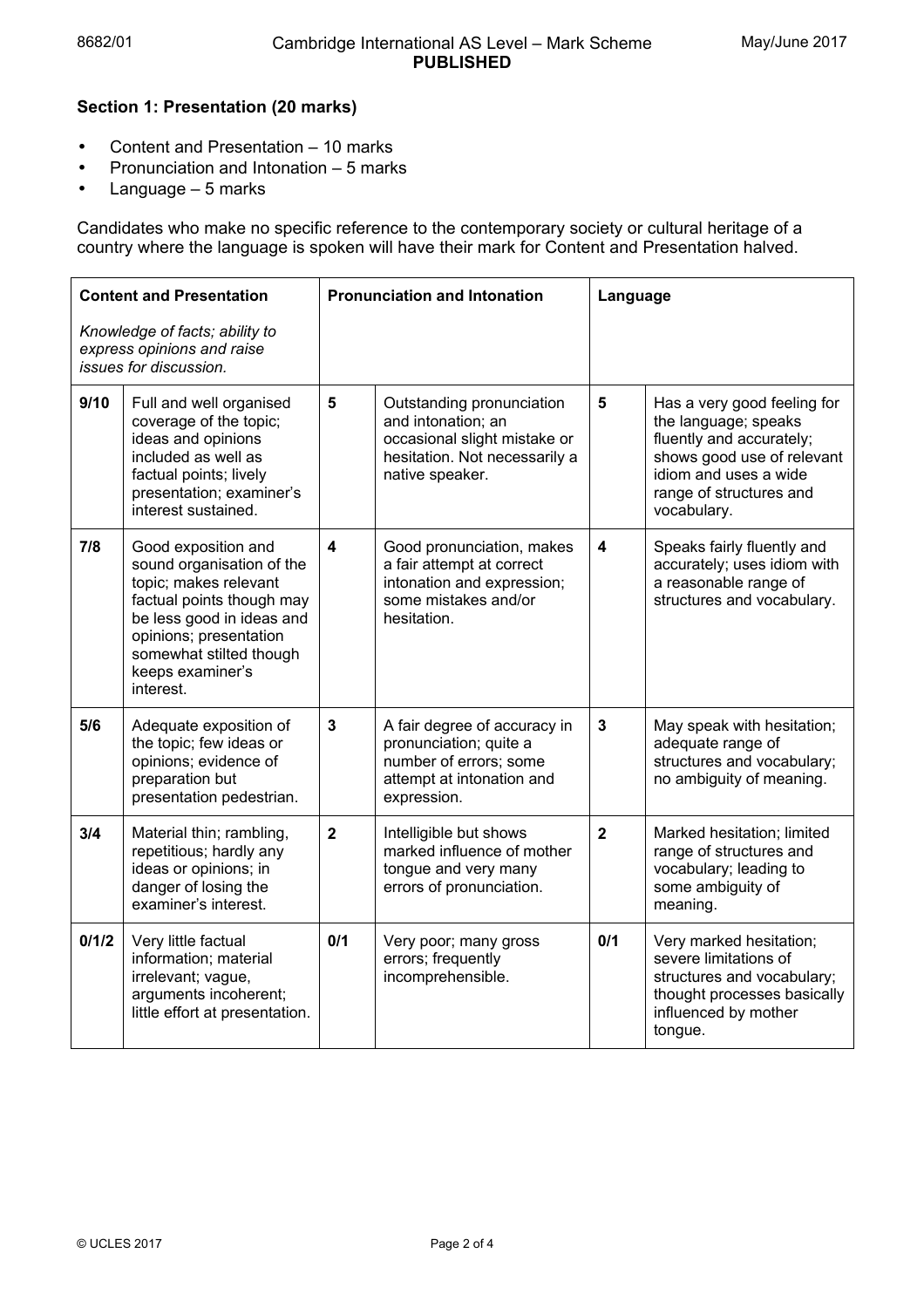## **Section 1: Presentation (20 marks)**

- Content and Presentation 10 marks
- Pronunciation and Intonation 5 marks
- Language 5 marks

Candidates who make no specific reference to the contemporary society or cultural heritage of a country where the language is spoken will have their mark for Content and Presentation halved.

| <b>Content and Presentation</b>                                                        |                                                                                                                                                                                                                           | <b>Pronunciation and Intonation</b> |                                                                                                                                     | Language                |                                                                                                                                                                                  |
|----------------------------------------------------------------------------------------|---------------------------------------------------------------------------------------------------------------------------------------------------------------------------------------------------------------------------|-------------------------------------|-------------------------------------------------------------------------------------------------------------------------------------|-------------------------|----------------------------------------------------------------------------------------------------------------------------------------------------------------------------------|
| Knowledge of facts; ability to<br>express opinions and raise<br>issues for discussion. |                                                                                                                                                                                                                           |                                     |                                                                                                                                     |                         |                                                                                                                                                                                  |
| 9/10                                                                                   | Full and well organised<br>coverage of the topic;<br>ideas and opinions<br>included as well as<br>factual points; lively<br>presentation; examiner's<br>interest sustained.                                               | 5                                   | Outstanding pronunciation<br>and intonation; an<br>occasional slight mistake or<br>hesitation. Not necessarily a<br>native speaker. | 5                       | Has a very good feeling for<br>the language; speaks<br>fluently and accurately;<br>shows good use of relevant<br>idiom and uses a wide<br>range of structures and<br>vocabulary. |
| 7/8                                                                                    | Good exposition and<br>sound organisation of the<br>topic; makes relevant<br>factual points though may<br>be less good in ideas and<br>opinions; presentation<br>somewhat stilted though<br>keeps examiner's<br>interest. | $\overline{\mathbf{4}}$             | Good pronunciation, makes<br>a fair attempt at correct<br>intonation and expression;<br>some mistakes and/or<br>hesitation.         | $\overline{\mathbf{4}}$ | Speaks fairly fluently and<br>accurately; uses idiom with<br>a reasonable range of<br>structures and vocabulary.                                                                 |
| 5/6                                                                                    | Adequate exposition of<br>the topic; few ideas or<br>opinions; evidence of<br>preparation but<br>presentation pedestrian.                                                                                                 | $\mathbf{3}$                        | A fair degree of accuracy in<br>pronunciation; quite a<br>number of errors; some<br>attempt at intonation and<br>expression.        | $\mathbf{3}$            | May speak with hesitation;<br>adequate range of<br>structures and vocabulary;<br>no ambiguity of meaning.                                                                        |
| 3/4                                                                                    | Material thin; rambling,<br>repetitious; hardly any<br>ideas or opinions; in<br>danger of losing the<br>examiner's interest.                                                                                              | $\overline{2}$                      | Intelligible but shows<br>marked influence of mother<br>tongue and very many<br>errors of pronunciation.                            | $\overline{2}$          | Marked hesitation; limited<br>range of structures and<br>vocabulary; leading to<br>some ambiguity of<br>meaning.                                                                 |
| 0/1/2                                                                                  | Very little factual<br>information; material<br>irrelevant; vague,<br>arguments incoherent;<br>little effort at presentation.                                                                                             | 0/1                                 | Very poor; many gross<br>errors; frequently<br>incomprehensible.                                                                    | 0/1                     | Very marked hesitation;<br>severe limitations of<br>structures and vocabulary;<br>thought processes basically<br>influenced by mother<br>tongue.                                 |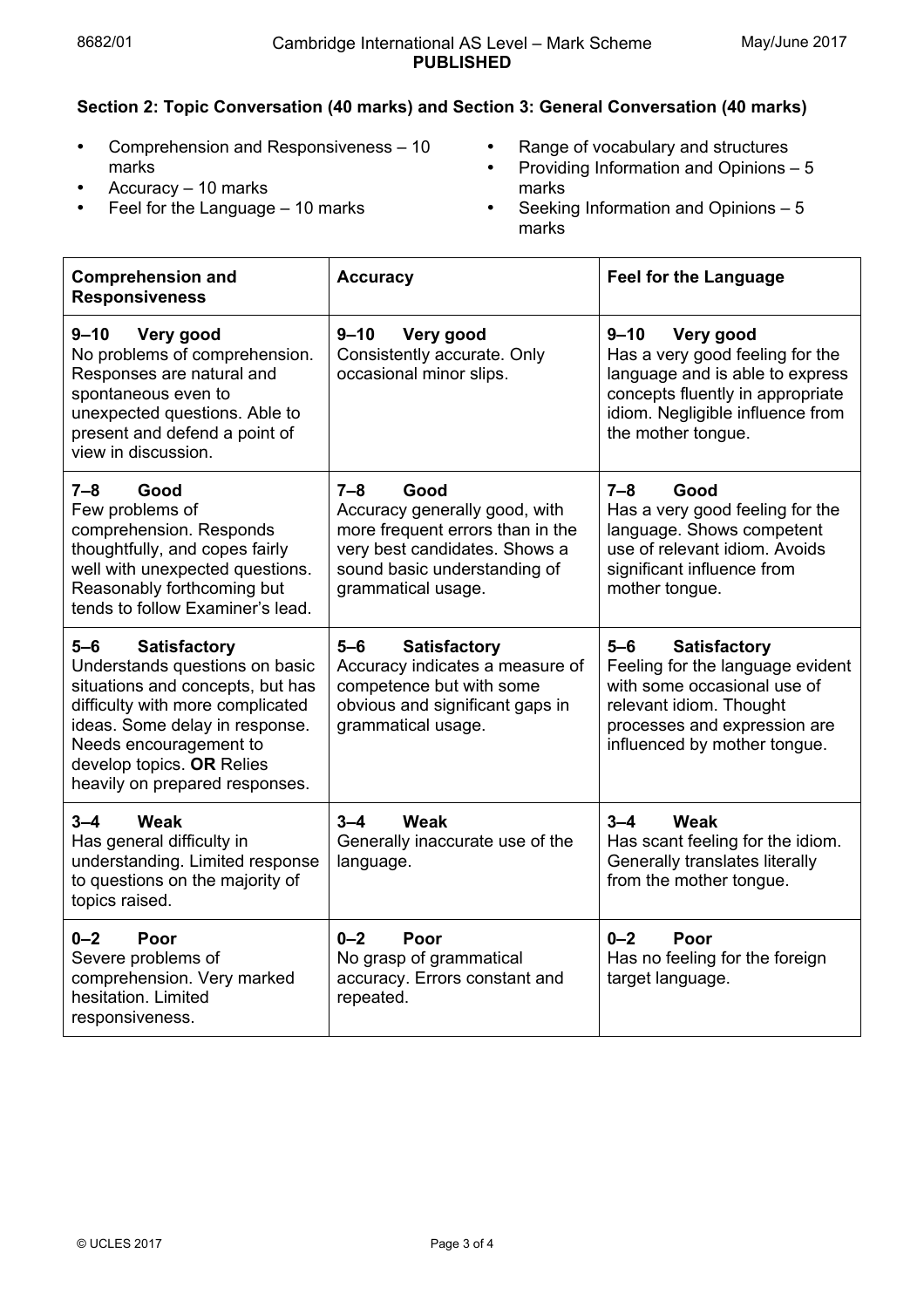## **Section 2: Topic Conversation (40 marks) and Section 3: General Conversation (40 marks)**

• Comprehension and Responsiveness – 10 marks • Accuracy – 10 marks

• Feel for the Language – 10 marks

- Range of vocabulary and structures
- Providing Information and Opinions 5 marks
- Seeking Information and Opinions 5 marks

| <b>Comprehension and</b><br><b>Responsiveness</b>                                                                                                                                                                                                                 | <b>Accuracy</b>                                                                                                                                                             | <b>Feel for the Language</b>                                                                                                                                                               |
|-------------------------------------------------------------------------------------------------------------------------------------------------------------------------------------------------------------------------------------------------------------------|-----------------------------------------------------------------------------------------------------------------------------------------------------------------------------|--------------------------------------------------------------------------------------------------------------------------------------------------------------------------------------------|
| $9 - 10$<br>Very good<br>No problems of comprehension.<br>Responses are natural and<br>spontaneous even to<br>unexpected questions. Able to<br>present and defend a point of<br>view in discussion.                                                               | $9 - 10$<br>Very good<br>Consistently accurate. Only<br>occasional minor slips.                                                                                             | $9 - 10$<br>Very good<br>Has a very good feeling for the<br>language and is able to express<br>concepts fluently in appropriate<br>idiom. Negligible influence from<br>the mother tongue.  |
| $7 - 8$<br>Good<br>Few problems of<br>comprehension. Responds<br>thoughtfully, and copes fairly<br>well with unexpected questions.<br>Reasonably forthcoming but<br>tends to follow Examiner's lead.                                                              | $7 - 8$<br>Good<br>Accuracy generally good, with<br>more frequent errors than in the<br>very best candidates. Shows a<br>sound basic understanding of<br>grammatical usage. | $7 - 8$<br>Good<br>Has a very good feeling for the<br>language. Shows competent<br>use of relevant idiom. Avoids<br>significant influence from<br>mother tongue.                           |
| $5-6$<br><b>Satisfactory</b><br>Understands questions on basic<br>situations and concepts, but has<br>difficulty with more complicated<br>ideas. Some delay in response.<br>Needs encouragement to<br>develop topics. OR Relies<br>heavily on prepared responses. | $5 - 6$<br><b>Satisfactory</b><br>Accuracy indicates a measure of<br>competence but with some<br>obvious and significant gaps in<br>grammatical usage.                      | $5-6$<br><b>Satisfactory</b><br>Feeling for the language evident<br>with some occasional use of<br>relevant idiom. Thought<br>processes and expression are<br>influenced by mother tongue. |
| Weak<br>$3 - 4$<br>Has general difficulty in<br>understanding. Limited response<br>to questions on the majority of<br>topics raised.                                                                                                                              | $3 - 4$<br><b>Weak</b><br>Generally inaccurate use of the<br>language.                                                                                                      | $3 - 4$<br><b>Weak</b><br>Has scant feeling for the idiom.<br>Generally translates literally<br>from the mother tongue.                                                                    |
| $0 - 2$<br>Poor<br>Severe problems of<br>comprehension. Very marked<br>hesitation. Limited<br>responsiveness.                                                                                                                                                     | $0 - 2$<br>Poor<br>No grasp of grammatical<br>accuracy. Errors constant and<br>repeated.                                                                                    | $0 - 2$<br>Poor<br>Has no feeling for the foreign<br>target language.                                                                                                                      |